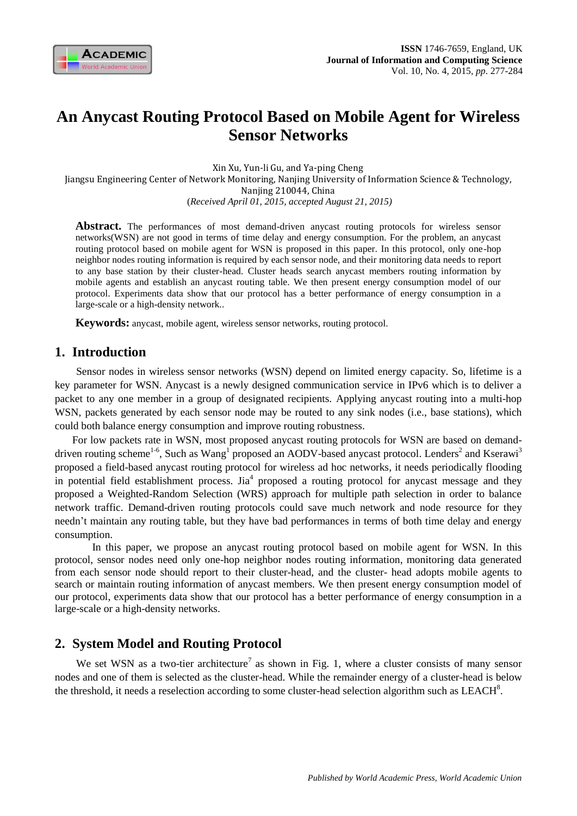

# **An Anycast Routing Protocol Based on Mobile Agent for Wireless Sensor Networks**

Xin Xu, Yun-li Gu, and Ya-ping Cheng

Jiangsu Engineering Center of Network Monitoring, Nanjing University of Information Science & Technology, Nanjing 210044, China

(*Received April 01, 2015, accepted August 21, 2015)*

Abstract. The performances of most demand-driven any cast routing protocols for wireless sensor networks(WSN) are not good in terms of time delay and energy consumption. For the problem, an anycast routing protocol based on mobile agent for WSN is proposed in this paper. In this protocol, only one-hop neighbor nodes routing information is required by each sensor node, and their monitoring data needs to report to any base station by their cluster-head. Cluster heads search anycast members routing information by mobile agents and establish an anycast routing table. We then present energy consumption model of our protocol. Experiments data show that our protocol has a better performance of energy consumption in a large-scale or a high-density network..

**Keywords:** anycast, mobile agent, wireless sensor networks, routing protocol.

# **1. Introduction**

Sensor nodes in wireless sensor networks (WSN) depend on limited energy capacity. So, lifetime is a key parameter for WSN. Anycast is a newly designed communication service in IPv6 which is to deliver a packet to any one member in a group of designated recipients. Applying anycast routing into a multi-hop WSN, packets generated by each sensor node may be routed to any sink nodes (i.e., base stations), which could both balance energy consumption and improve routing robustness.

For low packets rate in WSN, most proposed anycast routing protocols for WSN are based on demanddriven routing scheme<sup>1-6</sup>, Such as Wang<sup>1</sup> proposed an AODV-based anycast protocol. Lenders<sup>2</sup> and Kserawi<sup>3</sup> proposed a field-based anycast routing protocol for wireless ad hoc networks, it needs periodically flooding in potential field establishment process. Jia<sup>4</sup> proposed a routing protocol for anycast message and they proposed a Weighted-Random Selection (WRS) approach for multiple path selection in order to balance network traffic. Demand-driven routing protocols could save much network and node resource for they needn't maintain any routing table, but they have bad performances in terms of both time delay and energy consumption.

 In this paper, we propose an anycast routing protocol based on mobile agent for WSN. In this protocol, sensor nodes need only one-hop neighbor nodes routing information, monitoring data generated from each sensor node should report to their cluster-head, and the cluster- head adopts mobile agents to search or maintain routing information of anycast members. We then present energy consumption model of our protocol, experiments data show that our protocol has a better performance of energy consumption in a large-scale or a high-density networks.

# **2. System Model and Routing Protocol**

We set WSN as a two-tier architecture<sup>7</sup> as shown in Fig. 1, where a cluster consists of many sensor nodes and one of them is selected as the cluster-head. While the remainder energy of a cluster-head is below the threshold, it needs a reselection according to some cluster-head selection algorithm such as  $LEACH^8$ .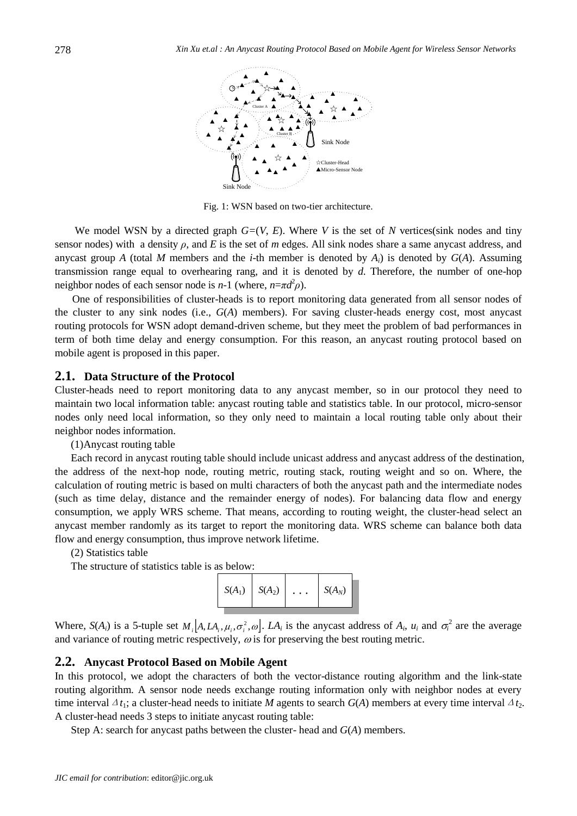

Fig. 1: WSN based on two-tier architecture.

We model WSN by a directed graph  $G=(V, E)$ . Where V is the set of N vertices(sink nodes and tiny sensor nodes) with a density *ρ*, and *E* is the set of *m* edges. All sink nodes share a same anycast address, and anycast group *A* (total *M* members and the *i*-th member is denoted by  $A_i$ ) is denoted by  $G(A)$ . Assuming transmission range equal to overhearing rang, and it is denoted by *d*. Therefore, the number of one-hop neighbor nodes of each sensor node is  $n-1$  (where,  $n=\pi d^2 \rho$ ).

One of responsibilities of cluster-heads is to report monitoring data generated from all sensor nodes of the cluster to any sink nodes (i.e., *G*(*A*) members). For saving cluster-heads energy cost, most anycast routing protocols for WSN adopt demand-driven scheme, but they meet the problem of bad performances in term of both time delay and energy consumption. For this reason, an anycast routing protocol based on mobile agent is proposed in this paper.

### **2.1. Data Structure of the Protocol**

Cluster-heads need to report monitoring data to any anycast member, so in our protocol they need to maintain two local information table: anycast routing table and statistics table. In our protocol, micro-sensor nodes only need local information, so they only need to maintain a local routing table only about their neighbor nodes information.

(1)Anycast routing table

Each record in anycast routing table should include unicast address and anycast address of the destination, the address of the next-hop node, routing metric, routing stack, routing weight and so on. Where, the calculation of routing metric is based on multi characters of both the anycast path and the intermediate nodes (such as time delay, distance and the remainder energy of nodes). For balancing data flow and energy consumption, we apply WRS scheme. That means, according to routing weight, the cluster-head select an anycast member randomly as its target to report the monitoring data. WRS scheme can balance both data flow and energy consumption, thus improve network lifetime.

(2) Statistics table

The structure of statistics table is as below:



Where,  $S(A_i)$  is a 5-tuple set  $M_i[A, LA_i, \mu_i, \sigma_i^2, \omega]$ .  $LA_i$  is the any cast address of  $A_i$ ,  $\mu_i$  and  $\sigma_i^2$  are the average and variance of routing metric respectively,  $\omega$  is for preserving the best routing metric.

#### **2.2. Anycast Protocol Based on Mobile Agent**

In this protocol, we adopt the characters of both the vector-distance routing algorithm and the link-state routing algorithm. A sensor node needs exchange routing information only with neighbor nodes at every time interval  $\Delta t_1$ ; a cluster-head needs to initiate *M* agents to search  $G(A)$  members at every time interval  $\Delta t_2$ . A cluster-head needs 3 steps to initiate anycast routing table:

Step A: search for anycast paths between the cluster- head and *G*(*A*) members.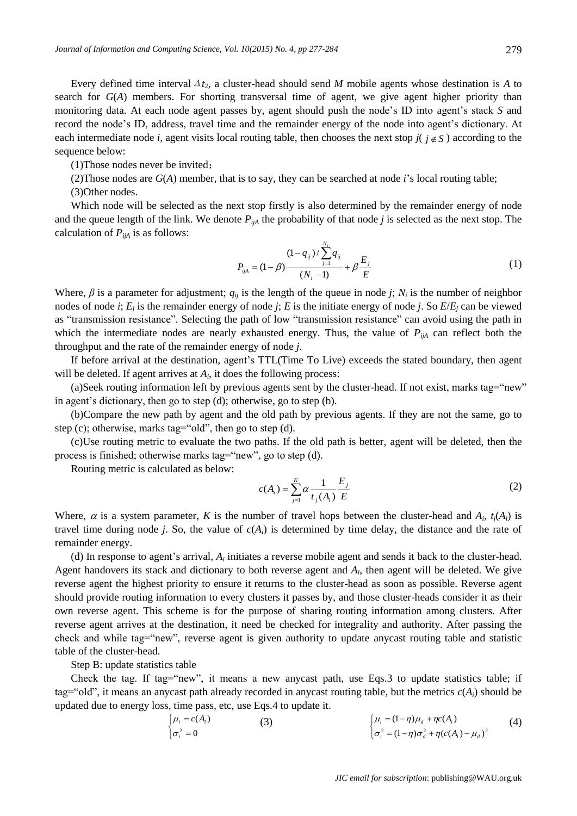Every defined time interval  $\Delta t_2$ , a cluster-head should send *M* mobile agents whose destination is *A* to search for *G*(*A*) members. For shorting transversal time of agent, we give agent higher priority than monitoring data. At each node agent passes by, agent should push the node's ID into agent's stack *S* and record the node's ID, address, travel time and the remainder energy of the node into agent's dictionary. At each intermediate node *i*, agent visits local routing table, then chooses the next stop  $j(j \notin S)$  according to the sequence below:

(1)Those nodes never be invited;

(2)Those nodes are *G*(*A*) member, that is to say, they can be searched at node *i*'s local routing table;

(3)Other nodes.

Which node will be selected as the next stop firstly is also determined by the remainder energy of node and the queue length of the link. We denote  $P_{i,jA}$  the probability of that node *j* is selected as the next stop. The calculation of  $P_{i}$ <sup>*iA*</sup> is as follows:

$$
P_{ijA} = (1 - \beta) \frac{(1 - q_{ij}) / \sum_{j=1}^{N_i} q_{ij}}{(N_i - 1)} + \beta \frac{E_j}{E}
$$
 (1)

Where,  $\beta$  is a parameter for adjustment;  $q_{ij}$  is the length of the queue in node *j*;  $N_i$  is the number of neighbor nodes of node *i*; *E<sup>j</sup>* is the remainder energy of node *j*; *E* is the initiate energy of node *j*. So *E*/*E<sup>j</sup>* can be viewed as "transmission resistance". Selecting the path of low "transmission resistance" can avoid using the path in which the intermediate nodes are nearly exhausted energy. Thus, the value of  $P_{i\mu A}$  can reflect both the throughput and the rate of the remainder energy of node *j*.

If before arrival at the destination, agent's TTL(Time To Live) exceeds the stated boundary, then agent will be deleted. If agent arrives at  $A_i$ , it does the following process:

(a)Seek routing information left by previous agents sent by the cluster-head. If not exist, marks tag="new" in agent's dictionary, then go to step (d); otherwise, go to step (b).

(b)Compare the new path by agent and the old path by previous agents. If they are not the same, go to step (c); otherwise, marks tag="old", then go to step (d).

(c)Use routing metric to evaluate the two paths. If the old path is better, agent will be deleted, then the process is finished; otherwise marks tag="new", go to step (d).

Routing metric is calculated as below:

$$
c(A_i) = \sum_{j=1}^{K} \alpha \frac{1}{t_j(A_i)} \frac{E_j}{E}
$$
 (2)

Where,  $\alpha$  is a system parameter, *K* is the number of travel hops between the cluster-head and  $A_i$ ,  $t_j(A_i)$  is travel time during node *j*. So, the value of  $c(A_i)$  is determined by time delay, the distance and the rate of remainder energy.

(d) In response to agent's arrival,  $A_i$  initiates a reverse mobile agent and sends it back to the cluster-head. Agent handovers its stack and dictionary to both reverse agent and  $A_i$ , then agent will be deleted. We give reverse agent the highest priority to ensure it returns to the cluster-head as soon as possible. Reverse agent should provide routing information to every clusters it passes by, and those cluster-heads consider it as their own reverse agent. This scheme is for the purpose of sharing routing information among clusters. After reverse agent arrives at the destination, it need be checked for integrality and authority. After passing the check and while tag="new", reverse agent is given authority to update anycast routing table and statistic table of the cluster-head.

Step B: update statistics table

Check the tag. If tag="new", it means a new anycast path, use Eqs.3 to update statistics table; if tag="old", it means an anycast path already recorded in anycast routing table, but the metrics  $c(A_i)$  should be updated due to energy loss, time pass, etc, use Eqs.4 to update it.

$$
\begin{cases} \mu_i = c(A_i) & (3) \\ \sigma_i^2 = 0 & (\sigma_i^2 = (1 - \eta)\sigma_d^2 + \eta c(A_i) - \mu_d)^2 \end{cases}
$$
 (4)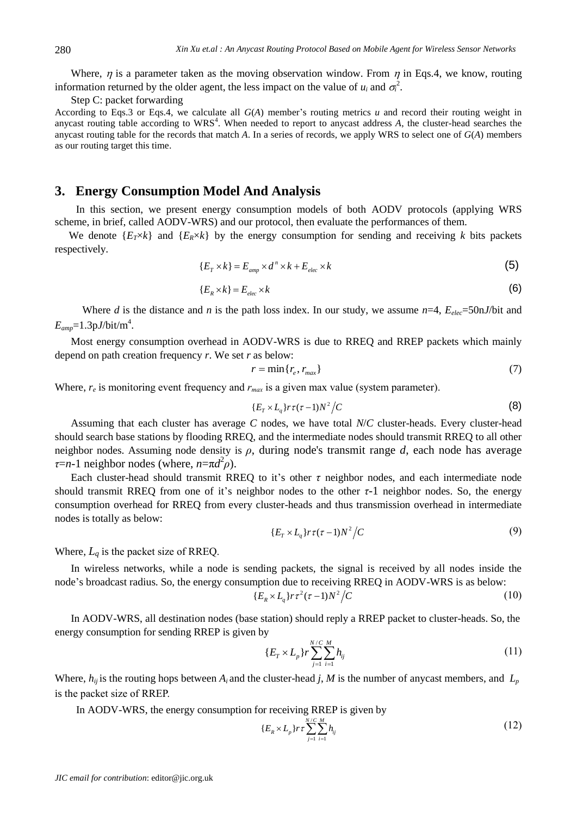Where,  $\eta$  is a parameter taken as the moving observation window. From  $\eta$  in Eqs.4, we know, routing information returned by the older agent, the less impact on the value of  $u_i$  and  $\sigma_i^2$ .

Step C: packet forwarding

According to Eqs.3 or Eqs.4, we calculate all *G*(*A*) member's routing metrics *u* and record their routing weight in anycast routing table according to  $WRS<sup>4</sup>$ . When needed to report to anycast address  $A$ , the cluster-head searches the anycast routing table for the records that match *A*. In a series of records, we apply WRS to select one of *G*(*A*) members as our routing target this time.

# **3. Energy Consumption Model And Analysis**

In this section, we present energy consumption models of both AODV protocols (applying WRS scheme, in brief, called AODV-WRS) and our protocol, then evaluate the performances of them.

We denote  $\{E_T \times k\}$  and  $\{E_R \times k\}$  by the energy consumption for sending and receiving *k* bits packets respectively.

$$
\{E_{T} \times k\} = E_{amp} \times d^{n} \times k + E_{elec} \times k \tag{5}
$$

$$
\{E_R \times k\} = E_{elec} \times k \tag{6}
$$

Where *d* is the distance and *n* is the path loss index. In our study, we assume  $n=4$ ,  $E_{elec}=50 \text{ nJ/bit}$  and  $E_{amp}$ =1.3p*J*/bit/m<sup>4</sup>.

Most energy consumption overhead in AODV-WRS is due to RREQ and RREP packets which mainly depend on path creation frequency *r*. We set *r* as below:

$$
r = \min\{r_e, r_{\max}\}\tag{7}
$$

Where,  $r_e$  is monitoring event frequency and  $r_{max}$  is a given max value (system parameter).

$$
\{E_r \times L_q\} r \tau (\tau - 1) N^2 / C \tag{8}
$$

Assuming that each cluster has average *C* nodes, we have total *N*/*C* cluster-heads. Every cluster-head should search base stations by flooding RREQ, and the intermediate nodes should transmit RREQ to all other neighbor nodes. Assuming node density is *ρ*, during node's transmit range *d*, each node has average  $\tau$ =*n*-1 neighbor nodes (where,  $n = \pi d^2 \rho$ ).

Each cluster-head should transmit RREQ to it's other *τ* neighbor nodes, and each intermediate node should transmit RREQ from one of it's neighbor nodes to the other *τ*-1 neighbor nodes. So, the energy consumption overhead for RREQ from every cluster-heads and thus transmission overhead in intermediate nodes is totally as below:

$$
\{E_T \times L_q\} r \tau (\tau - 1) N^2 / C \tag{9}
$$

Where,  $L_q$  is the packet size of RREQ.

In wireless networks, while a node is sending packets, the signal is received by all nodes inside the node's broadcast radius. So, the energy consumption due to receiving RREQ in AODV-WRS is as below:

$$
\{E_R \times L_q\} r \tau^2 (\tau - 1) N^2 / C \tag{10}
$$

In AODV-WRS, all destination nodes (base station) should reply a RREP packet to cluster-heads. So, the energy consumption for sending RREP is given by

$$
\{E_T \times L_p\} r \sum_{j=1}^{N/C} \sum_{i=1}^{M} h_{ij}
$$
 (11)

Where,  $h_{ij}$  is the routing hops between  $A_i$  and the cluster-head *j*, *M* is the number of anycast members, and  $L_p$ is the packet size of RREP.

In AODV-WRS, the energy consumption for receiving RREP is given by

$$
\{E_R \times L_p\} r \tau \sum_{j=1}^{N/C} \sum_{i=1}^{M} h_{ij} \tag{12}
$$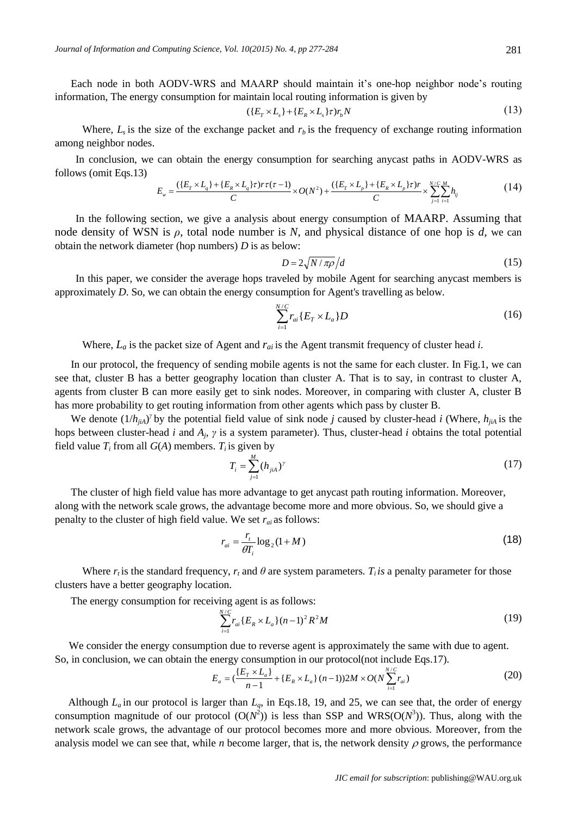Each node in both AODV-WRS and MAARP should maintain it's one-hop neighbor node's routing information, The energy consumption for maintain local routing information is given by

$$
(\{E_r \times L_s\} + \{E_R \times L_s\}\tau)r_bN \tag{13}
$$

Where,  $L_s$  is the size of the exchange packet and  $r_b$  is the frequency of exchange routing information among neighbor nodes.

In conclusion, we can obtain the energy consumption for searching anycast paths in AODV-WRS as follows (omit Eqs.13)

$$
E_w = \frac{(\{E_r \times L_q\} + \{E_R \times L_q\}\tau)r\tau(\tau - 1)}{C} \times O(N^2) + \frac{(\{E_r \times L_p\} + \{E_R \times L_p\}\tau)r}{C} \times \sum_{j=1}^{N/C} \sum_{i=1}^{M} h_{ij}
$$
(14)

In the following section, we give a analysis about energy consumption of MAARP. Assuming that node density of WSN is  $\rho$ , total node number is N, and physical distance of one hop is d, we can obtain the network diameter (hop numbers) *D* is as below:

$$
D = 2\sqrt{N/\pi\rho}/d\tag{15}
$$

In this paper, we consider the average hops traveled by mobile Agent for searching anycast members is approximately *D*. So, we can obtain the energy consumption for Agent's travelling as below.

$$
\sum_{i=1}^{N/C} r_{ai} \{ E_T \times L_a \} D \tag{16}
$$

Where,  $L_a$  is the packet size of Agent and  $r_{ai}$  is the Agent transmit frequency of cluster head *i*.

In our protocol, the frequency of sending mobile agents is not the same for each cluster. In Fig.1, we can see that, cluster B has a better geography location than cluster A. That is to say, in contrast to cluster A, agents from cluster B can more easily get to sink nodes. Moreover, in comparing with cluster A, cluster B has more probability to get routing information from other agents which pass by cluster B.

We denote  $(1/h_{jA})^{\gamma}$  by the potential field value of sink node *j* caused by cluster-head *i* (Where,  $h_{jA}$  is the hops between cluster-head *i* and *A<sup>j</sup>* , *γ* is a system parameter). Thus, cluster-head *i* obtains the total potential field value  $T_i$  from all  $G(A)$  members.  $T_i$  is given by

$$
T_i = \sum_{j=1}^{M} (h_{j,i})^{\gamma} \tag{17}
$$

The cluster of high field value has more advantage to get anycast path routing information. Moreover, along with the network scale grows, the advantage become more and more obvious. So, we should give a penalty to the cluster of high field value. We set  $r_{ai}$  as follows:

$$
r_{ai} = \frac{r_t}{\theta T_i} \log_2(1+M) \tag{18}
$$

Where  $r_i$  is the standard frequency,  $r_i$  and  $\theta$  are system parameters.  $T_i$  *is* a penalty parameter for those clusters have a better geography location.

The energy consumption for receiving agent is as follows:

$$
\sum_{i=1}^{N/C} r_{ai} \{ E_R \times L_a \} (n-1)^2 R^2 M \tag{19}
$$

We consider the energy consumption due to reverse agent is approximately the same with due to agent. So, in conclusion, we can obtain the energy consumption in our protocol(not include Eqs.17).

$$
E_a = \left(\frac{E_T \times L_a}{n-1} + \{E_R \times L_a\} (n-1)\right) 2M \times O(N \sum_{i=1}^{N/C} r_{ai})
$$
\n(20)

Although  $L_a$  in our protocol is larger than  $L_a$ , in Eqs.18, 19, and 25, we can see that, the order of energy consumption magnitude of our protocol  $(O(N^2))$  is less than SSP and WRS $(O(N^3))$ . Thus, along with the network scale grows, the advantage of our protocol becomes more and more obvious. Moreover, from the analysis model we can see that, while *n* become larger, that is, the network density  $\rho$  grows, the performance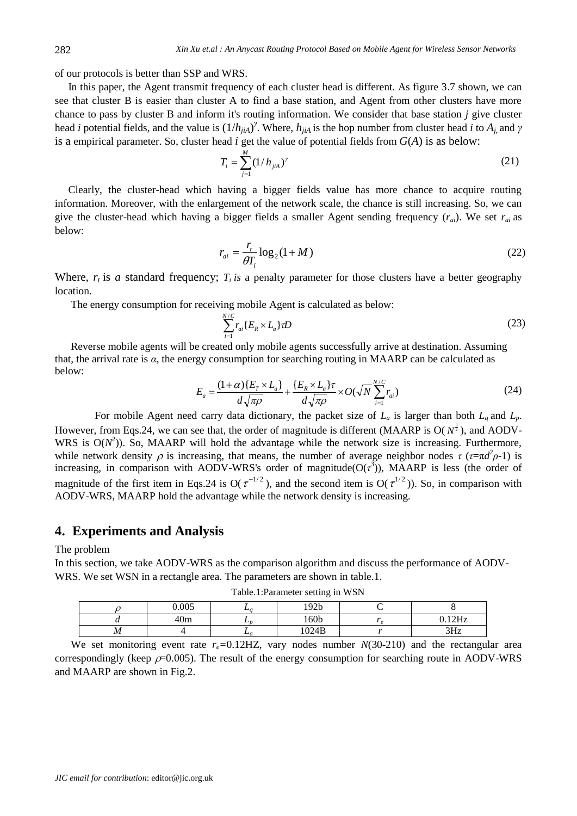of our protocols is better than SSP and WRS.

 In this paper, the Agent transmit frequency of each cluster head is different. As figure 3.7 shown, we can see that cluster B is easier than cluster A to find a base station, and Agent from other clusters have more chance to pass by cluster B and inform it's routing information. We consider that base station *j* give cluster head *i* potential fields, and the value is (1/*hjiA*) *γ* . Where, *hjiA* is the hop number from cluster head *i* to *Aj*, and *γ* is a empirical parameter. So, cluster head *i* get the value of potential fields from *G*(*A*) is as below:

$$
T_i = \sum_{j=1}^{M} (1/h_{jik})^{\gamma}
$$
 (21)

 Clearly, the cluster-head which having a bigger fields value has more chance to acquire routing information. Moreover, with the enlargement of the network scale, the chance is still increasing. So, we can give the cluster-head which having a bigger fields a smaller Agent sending frequency (*rai*). We set *rai* as below:

$$
r_{ai} = \frac{r_t}{\theta T_i} \log_2(1+M) \tag{22}
$$

Where,  $r_t$  is *a* standard frequency;  $T_t$  *is* a penalty parameter for those clusters have a better geography location.

The energy consumption for receiving mobile Agent is calculated as below:

$$
\sum_{i=1}^{N/C} r_{ai} \{ E_R \times L_a \} \tau D \tag{23}
$$

Reverse mobile agents will be created only mobile agents successfully arrive at destination. Assuming that, the arrival rate is *α*, the energy consumption for searching routing in MAARP can be calculated as below:

$$
E_a = \frac{(1+\alpha)\{E_T \times L_a\}}{d\sqrt{\pi \rho}} + \frac{\{E_R \times L_a\}\tau}{d\sqrt{\pi \rho}} \times O(\sqrt{N} \sum_{i=1}^{N/C} r_{ai})
$$
(24)

For mobile Agent need carry data dictionary, the packet size of  $L_a$  is larger than both  $L_q$  and  $L_p$ . However, from Eqs.24, we can see that, the order of magnitude is different (MAARP is  $O(N^{\frac{3}{2}})$ , and AODV-WRS is  $O(N^2)$ ). So, MAARP will hold the advantage while the network size is increasing. Furthermore, while network density  $\rho$  is increasing, that means, the number of average neighbor nodes  $\tau$  ( $\tau = \pi d^2 \rho - 1$ ) is increasing, in comparison with AODV-WRS's order of magnitude( $O(\tau^3)$ ), MAARP is less (the order of magnitude of the first item in Eqs.24 is  $O(\tau^{-1/2})$ , and the second item is  $O(\tau^{1/2})$ ). So, in comparison with AODV-WRS, MAARP hold the advantage while the network density is increasing.

## **4. Experiments and Analysis**

The problem

In this section, we take AODV-WRS as the comparison algorithm and discuss the performance of AODV-WRS. We set WSN in a rectangle area. The parameters are shown in table.1.

| 0.005<br>192 <sub>b</sub><br>$-a$<br>160 <sub>b</sub><br>12H <sub>2</sub><br>40m<br>பா<br>w |  | ____ |  |
|---------------------------------------------------------------------------------------------|--|------|--|
|                                                                                             |  |      |  |
|                                                                                             |  |      |  |
| 1024B<br>2H <sub>2</sub><br>M<br>$-a$<br>JIIL                                               |  |      |  |

Table.1:Parameter setting in WSN

We set monitoring event rate  $r_e$ =0.12HZ, vary nodes number  $N(30-210)$  and the rectangular area correspondingly (keep  $\rho$ =0.005). The result of the energy consumption for searching route in AODV-WRS and MAARP are shown in Fig.2.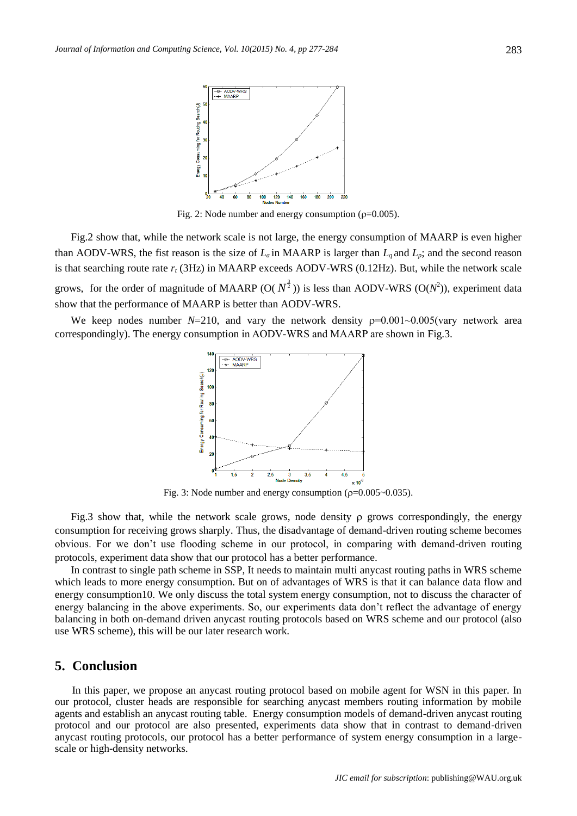

Fig. 2: Node number and energy consumption ( $\rho$ =0.005).

Fig.2 show that, while the network scale is not large, the energy consumption of MAARP is even higher than AODV-WRS, the fist reason is the size of  $L_a$  in MAARP is larger than  $L_a$  and  $L_p$ ; and the second reason is that searching route rate *r<sup>t</sup>* (3Hz) in MAARP exceeds AODV-WRS (0.12Hz). But, while the network scale grows, for the order of magnitude of MAARP  $(O(N^{\frac{3}{2}}))$  is less than AODV-WRS  $(O(N^2))$ , experiment data show that the performance of MAARP is better than AODV-WRS.

We keep nodes number  $N=210$ , and vary the network density  $p=0.001~0.005$  (vary network area correspondingly). The energy consumption in AODV-WRS and MAARP are shown in Fig.3.



Fig. 3: Node number and energy consumption ( $\rho$ =0.005~0.035).

Fig.3 show that, while the network scale grows, node density  $\rho$  grows correspondingly, the energy consumption for receiving grows sharply. Thus, the disadvantage of demand-driven routing scheme becomes obvious. For we don't use flooding scheme in our protocol, in comparing with demand-driven routing protocols, experiment data show that our protocol has a better performance.

In contrast to single path scheme in SSP, It needs to maintain multi anycast routing paths in WRS scheme which leads to more energy consumption. But on of advantages of WRS is that it can balance data flow and energy consumption10. We only discuss the total system energy consumption, not to discuss the character of energy balancing in the above experiments. So, our experiments data don't reflect the advantage of energy balancing in both on-demand driven anycast routing protocols based on WRS scheme and our protocol (also use WRS scheme), this will be our later research work.

# **5. Conclusion**

In this paper, we propose an anycast routing protocol based on mobile agent for WSN in this paper. In our protocol, cluster heads are responsible for searching anycast members routing information by mobile agents and establish an anycast routing table. Energy consumption models of demand-driven anycast routing protocol and our protocol are also presented, experiments data show that in contrast to demand-driven anycast routing protocols, our protocol has a better performance of system energy consumption in a largescale or high-density networks.